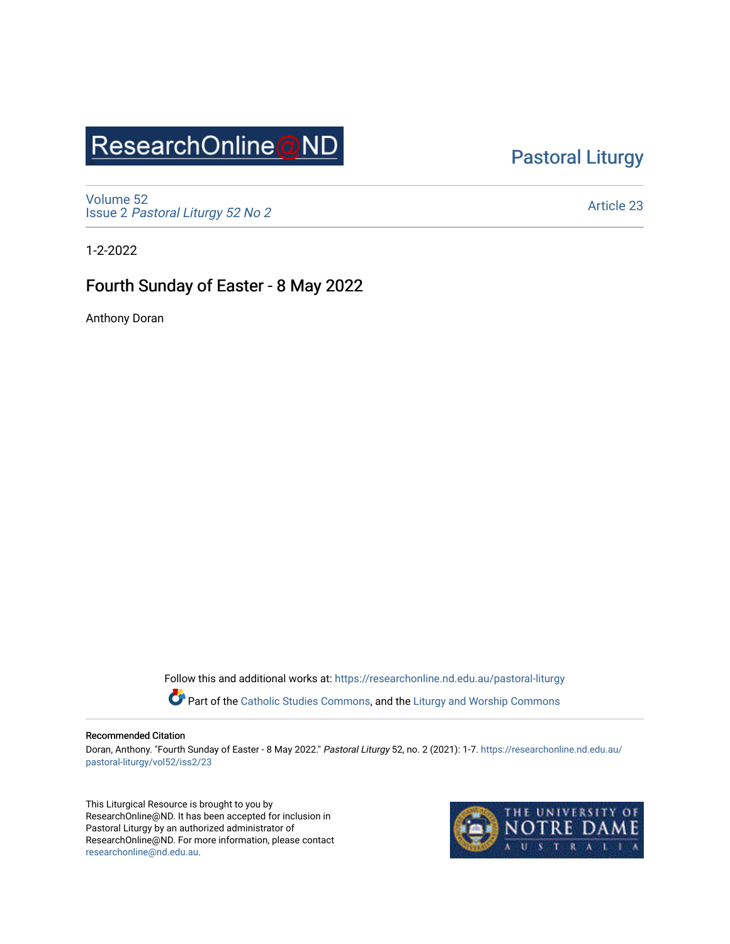# ResearchOnline@ND

### [Pastoral Liturgy](https://researchonline.nd.edu.au/pastoral-liturgy)

[Volume 52](https://researchonline.nd.edu.au/pastoral-liturgy/vol52) Issue 2 [Pastoral Liturgy 52 No 2](https://researchonline.nd.edu.au/pastoral-liturgy/vol52/iss2)

[Article 23](https://researchonline.nd.edu.au/pastoral-liturgy/vol52/iss2/23) 

1-2-2022

### Fourth Sunday of Easter - 8 May 2022

Anthony Doran

Follow this and additional works at: [https://researchonline.nd.edu.au/pastoral-liturgy](https://researchonline.nd.edu.au/pastoral-liturgy?utm_source=researchonline.nd.edu.au%2Fpastoral-liturgy%2Fvol52%2Fiss2%2F23&utm_medium=PDF&utm_campaign=PDFCoverPages)

Part of the [Catholic Studies Commons,](http://network.bepress.com/hgg/discipline/1294?utm_source=researchonline.nd.edu.au%2Fpastoral-liturgy%2Fvol52%2Fiss2%2F23&utm_medium=PDF&utm_campaign=PDFCoverPages) and the Liturgy and Worship Commons

#### Recommended Citation

Doran, Anthony. "Fourth Sunday of Easter - 8 May 2022." Pastoral Liturgy 52, no. 2 (2021): 1-7. [https://researchonline.nd.edu.au/](https://researchonline.nd.edu.au/pastoral-liturgy/vol52/iss2/23?utm_source=researchonline.nd.edu.au%2Fpastoral-liturgy%2Fvol52%2Fiss2%2F23&utm_medium=PDF&utm_campaign=PDFCoverPages) [pastoral-liturgy/vol52/iss2/23](https://researchonline.nd.edu.au/pastoral-liturgy/vol52/iss2/23?utm_source=researchonline.nd.edu.au%2Fpastoral-liturgy%2Fvol52%2Fiss2%2F23&utm_medium=PDF&utm_campaign=PDFCoverPages) 

This Liturgical Resource is brought to you by ResearchOnline@ND. It has been accepted for inclusion in Pastoral Liturgy by an authorized administrator of ResearchOnline@ND. For more information, please contact [researchonline@nd.edu.au.](mailto:researchonline@nd.edu.au)

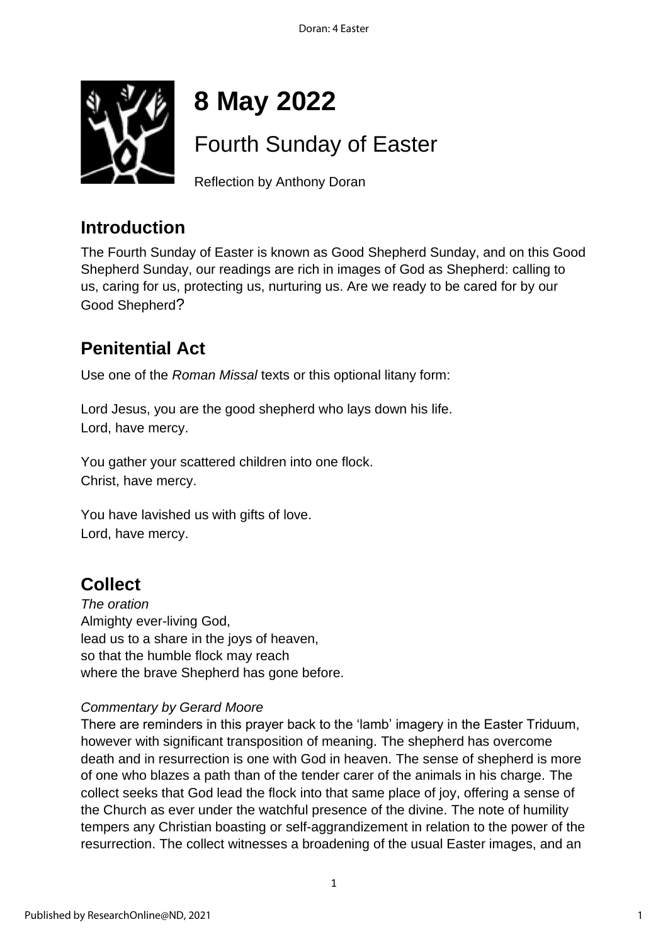

# **8 May 2022**

## Fourth Sunday of Easter

Reflection by Anthony Doran

### **Introduction**

The Fourth Sunday of Easter is known as Good Shepherd Sunday, and on this Good Shepherd Sunday, our readings are rich in images of God as Shepherd: calling to us, caring for us, protecting us, nurturing us. Are we ready to be cared for by our Good Shepherd?

### **Penitential Act**

Use one of the *Roman Missal* texts or this optional litany form:

Lord Jesus, you are the good shepherd who lays down his life. Lord, have mercy.

You gather your scattered children into one flock. Christ, have mercy.

You have lavished us with gifts of love. Lord, have mercy.

### **Collect**

*The oration* Almighty ever-living God, lead us to a share in the joys of heaven, so that the humble flock may reach where the brave Shepherd has gone before.

### *Commentary by Gerard Moore*

There are reminders in this prayer back to the 'lamb' imagery in the Easter Triduum, however with significant transposition of meaning. The shepherd has overcome death and in resurrection is one with God in heaven. The sense of shepherd is more of one who blazes a path than of the tender carer of the animals in his charge. The collect seeks that God lead the flock into that same place of joy, offering a sense of the Church as ever under the watchful presence of the divine. The note of humility tempers any Christian boasting or self-aggrandizement in relation to the power of the resurrection. The collect witnesses a broadening of the usual Easter images, and an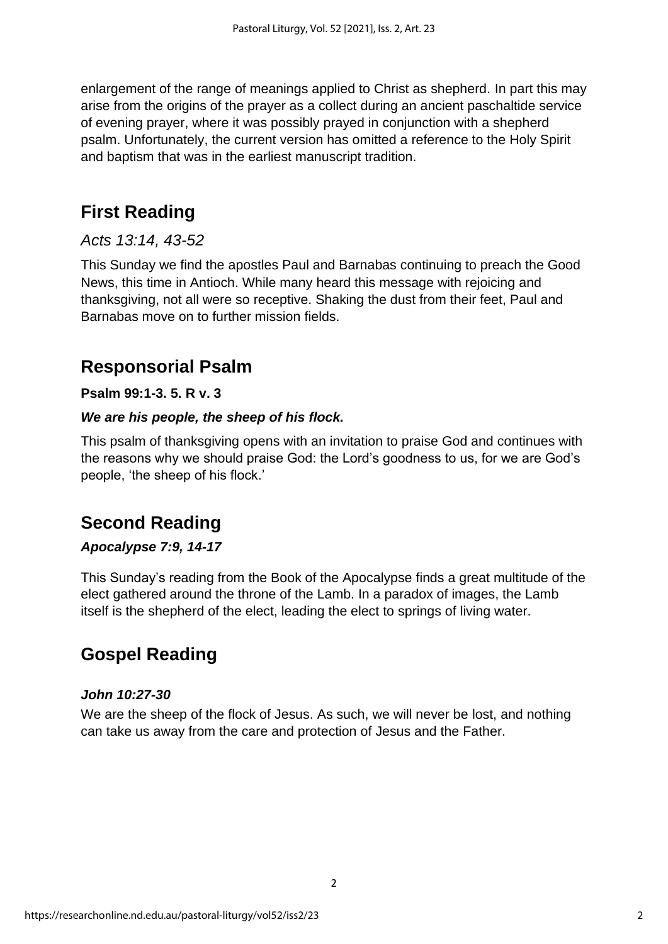enlargement of the range of meanings applied to Christ as shepherd. In part this may arise from the origins of the prayer as a collect during an ancient paschaltide service of evening prayer, where it was possibly prayed in conjunction with a shepherd psalm. Unfortunately, the current version has omitted a reference to the Holy Spirit and baptism that was in the earliest manuscript tradition.

### **First Reading**

### *Acts 13:14, 43-52*

This Sunday we find the apostles Paul and Barnabas continuing to preach the Good News, this time in Antioch. While many heard this message with rejoicing and thanksgiving, not all were so receptive. Shaking the dust from their feet, Paul and Barnabas move on to further mission fields.

### **Responsorial Psalm**

### **Psalm 99:1-3. 5. R v. 3**

#### *We are his people, the sheep of his flock.*

This psalm of thanksgiving opens with an invitation to praise God and continues with the reasons why we should praise God: the Lord's goodness to us, for we are God's people, 'the sheep of his flock.'

### **Second Reading**

### *Apocalypse 7:9, 14-17*

This Sunday's reading from the Book of the Apocalypse finds a great multitude of the elect gathered around the throne of the Lamb. In a paradox of images, the Lamb itself is the shepherd of the elect, leading the elect to springs of living water.

### **Gospel Reading**

#### *John 10:27-30*

We are the sheep of the flock of Jesus. As such, we will never be lost, and nothing can take us away from the care and protection of Jesus and the Father.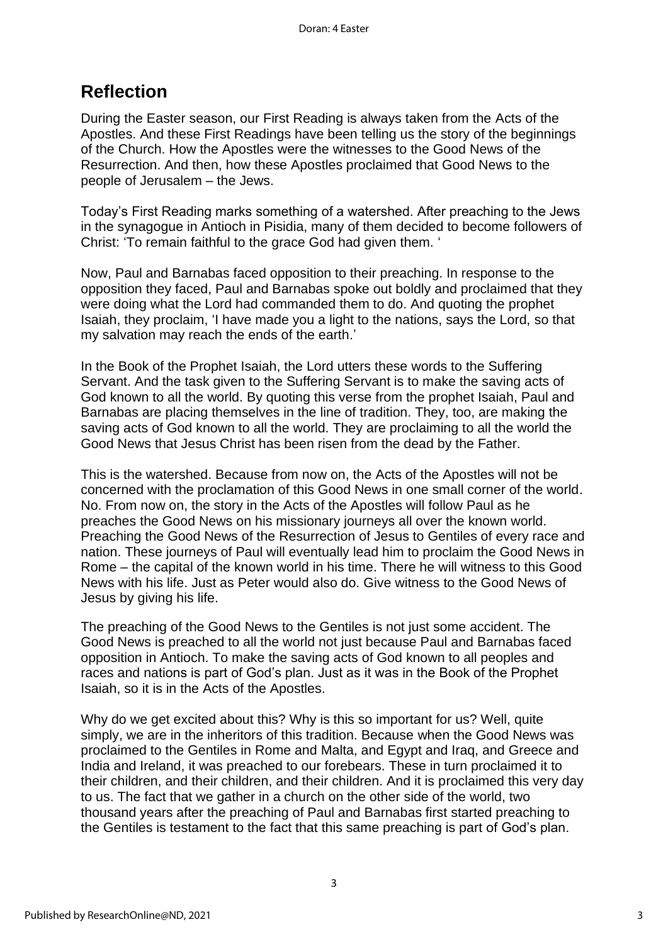### **Reflection**

During the Easter season, our First Reading is always taken from the Acts of the Apostles. And these First Readings have been telling us the story of the beginnings of the Church. How the Apostles were the witnesses to the Good News of the Resurrection. And then, how these Apostles proclaimed that Good News to the people of Jerusalem – the Jews.

Today's First Reading marks something of a watershed. After preaching to the Jews in the synagogue in Antioch in Pisidia, many of them decided to become followers of Christ: 'To remain faithful to the grace God had given them. '

Now, Paul and Barnabas faced opposition to their preaching. In response to the opposition they faced, Paul and Barnabas spoke out boldly and proclaimed that they were doing what the Lord had commanded them to do. And quoting the prophet Isaiah, they proclaim, 'I have made you a light to the nations, says the Lord, so that my salvation may reach the ends of the earth.'

In the Book of the Prophet Isaiah, the Lord utters these words to the Suffering Servant. And the task given to the Suffering Servant is to make the saving acts of God known to all the world. By quoting this verse from the prophet Isaiah, Paul and Barnabas are placing themselves in the line of tradition. They, too, are making the saving acts of God known to all the world. They are proclaiming to all the world the Good News that Jesus Christ has been risen from the dead by the Father.

This is the watershed. Because from now on, the Acts of the Apostles will not be concerned with the proclamation of this Good News in one small corner of the world. No. From now on, the story in the Acts of the Apostles will follow Paul as he preaches the Good News on his missionary journeys all over the known world. Preaching the Good News of the Resurrection of Jesus to Gentiles of every race and nation. These journeys of Paul will eventually lead him to proclaim the Good News in Rome – the capital of the known world in his time. There he will witness to this Good News with his life. Just as Peter would also do. Give witness to the Good News of Jesus by giving his life.

The preaching of the Good News to the Gentiles is not just some accident. The Good News is preached to all the world not just because Paul and Barnabas faced opposition in Antioch. To make the saving acts of God known to all peoples and races and nations is part of God's plan. Just as it was in the Book of the Prophet Isaiah, so it is in the Acts of the Apostles.

Why do we get excited about this? Why is this so important for us? Well, quite simply, we are in the inheritors of this tradition. Because when the Good News was proclaimed to the Gentiles in Rome and Malta, and Egypt and Iraq, and Greece and India and Ireland, it was preached to our forebears. These in turn proclaimed it to their children, and their children, and their children. And it is proclaimed this very day to us. The fact that we gather in a church on the other side of the world, two thousand years after the preaching of Paul and Barnabas first started preaching to the Gentiles is testament to the fact that this same preaching is part of God's plan.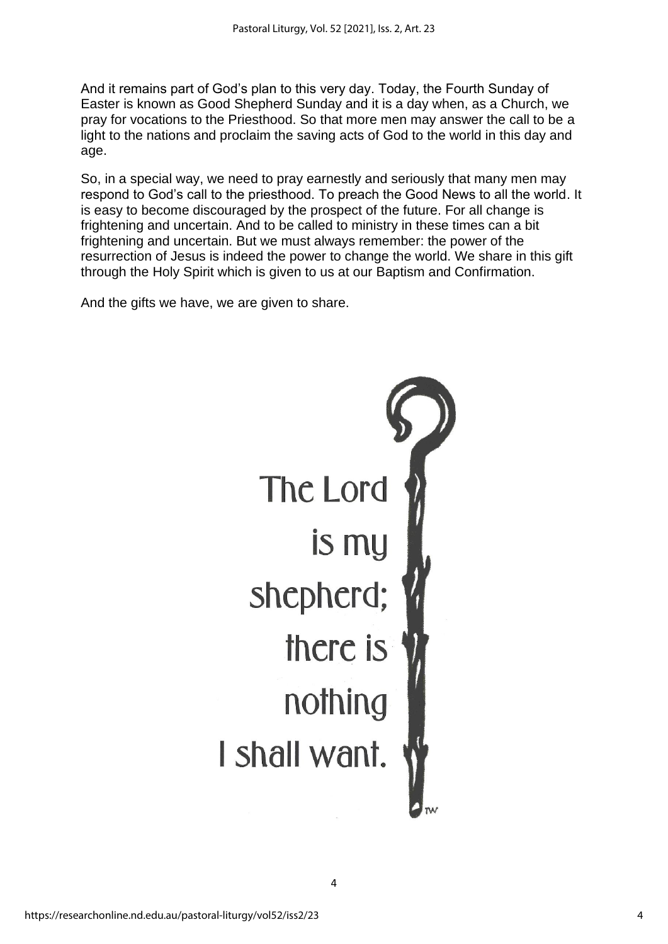And it remains part of God's plan to this very day. Today, the Fourth Sunday of Easter is known as Good Shepherd Sunday and it is a day when, as a Church, we pray for vocations to the Priesthood. So that more men may answer the call to be a light to the nations and proclaim the saving acts of God to the world in this day and age.

So, in a special way, we need to pray earnestly and seriously that many men may respond to God's call to the priesthood. To preach the Good News to all the world. It is easy to become discouraged by the prospect of the future. For all change is frightening and uncertain. And to be called to ministry in these times can a bit frightening and uncertain. But we must always remember: the power of the resurrection of Jesus is indeed the power to change the world. We share in this gift through the Holy Spirit which is given to us at our Baptism and Confirmation.

And the gifts we have, we are given to share.



4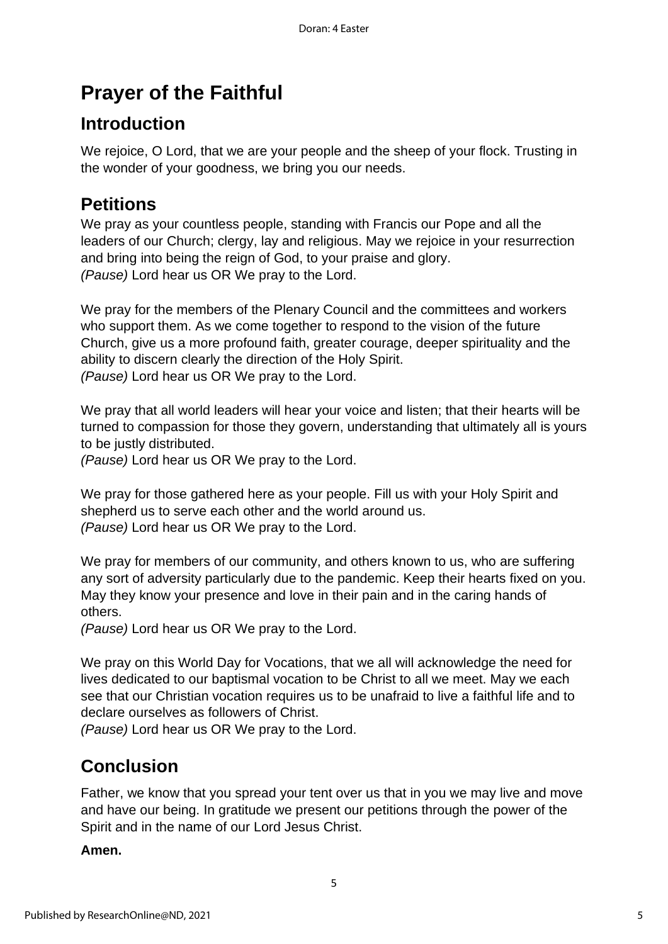## **Prayer of the Faithful**

### **Introduction**

We rejoice, O Lord, that we are your people and the sheep of your flock. Trusting in the wonder of your goodness, we bring you our needs.

### **Petitions**

We pray as your countless people, standing with Francis our Pope and all the leaders of our Church; clergy, lay and religious. May we rejoice in your resurrection and bring into being the reign of God, to your praise and glory. *(Pause)* Lord hear us OR We pray to the Lord.

We pray for the members of the Plenary Council and the committees and workers who support them. As we come together to respond to the vision of the future Church, give us a more profound faith, greater courage, deeper spirituality and the ability to discern clearly the direction of the Holy Spirit. *(Pause)* Lord hear us OR We pray to the Lord.

We pray that all world leaders will hear your voice and listen; that their hearts will be turned to compassion for those they govern, understanding that ultimately all is yours to be justly distributed.

*(Pause)* Lord hear us OR We pray to the Lord.

We pray for those gathered here as your people. Fill us with your Holy Spirit and shepherd us to serve each other and the world around us. *(Pause)* Lord hear us OR We pray to the Lord.

We pray for members of our community, and others known to us, who are suffering any sort of adversity particularly due to the pandemic. Keep their hearts fixed on you. May they know your presence and love in their pain and in the caring hands of others.

*(Pause)* Lord hear us OR We pray to the Lord.

We pray on this World Day for Vocations, that we all will acknowledge the need for lives dedicated to our baptismal vocation to be Christ to all we meet. May we each see that our Christian vocation requires us to be unafraid to live a faithful life and to declare ourselves as followers of Christ.

*(Pause)* Lord hear us OR We pray to the Lord.

### **Conclusion**

Father, we know that you spread your tent over us that in you we may live and move and have our being. In gratitude we present our petitions through the power of the Spirit and in the name of our Lord Jesus Christ.

#### **Amen.**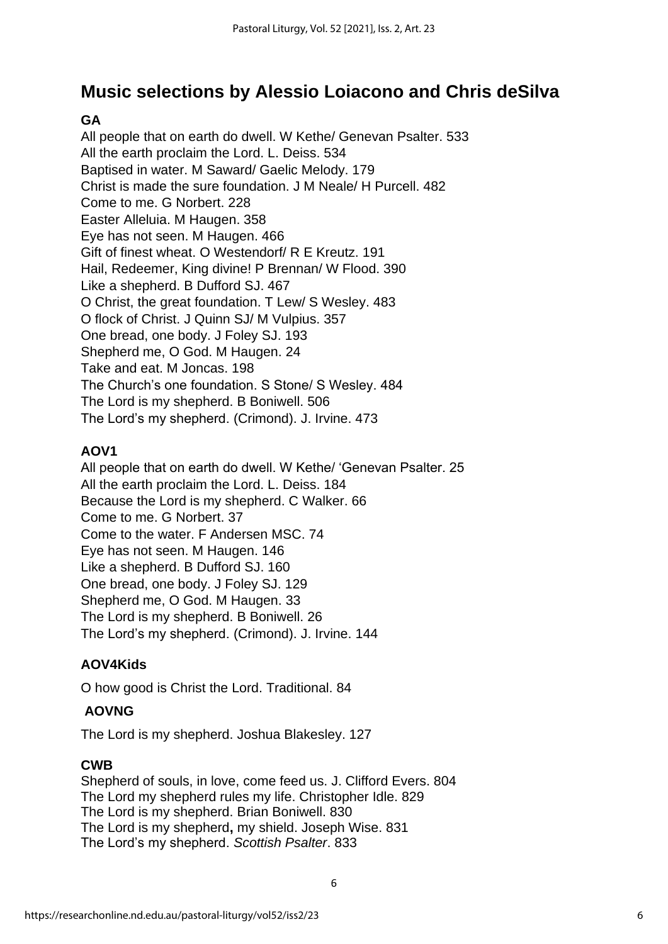### **Music selections by Alessio Loiacono and Chris deSilva**

### **GA**

All people that on earth do dwell. W Kethe/ Genevan Psalter. 533 All the earth proclaim the Lord. L. Deiss. 534 Baptised in water. M Saward/ Gaelic Melody. 179 Christ is made the sure foundation. J M Neale/ H Purcell. 482 Come to me. G Norbert. 228 Easter Alleluia. M Haugen. 358 Eye has not seen. M Haugen. 466 Gift of finest wheat. O Westendorf/ R E Kreutz. 191 Hail, Redeemer, King divine! P Brennan/ W Flood. 390 Like a shepherd. B Dufford SJ. 467 O Christ, the great foundation. T Lew/ S Wesley. 483 O flock of Christ. J Quinn SJ/ M Vulpius. 357 One bread, one body. J Foley SJ. 193 Shepherd me, O God. M Haugen. 24 Take and eat. M Joncas. 198 The Church's one foundation. S Stone/ S Wesley. 484 The Lord is my shepherd. B Boniwell. 506 The Lord's my shepherd. (Crimond). J. Irvine. 473

#### **AOV1**

All people that on earth do dwell. W Kethe/ 'Genevan Psalter. 25 All the earth proclaim the Lord. L. Deiss. 184 Because the Lord is my shepherd. C Walker. 66 Come to me. G Norbert. 37 Come to the water. F Andersen MSC. 74 Eye has not seen. M Haugen. 146 Like a shepherd. B Dufford SJ. 160 One bread, one body. J Foley SJ. 129 Shepherd me, O God. M Haugen. 33 The Lord is my shepherd. B Boniwell. 26 The Lord's my shepherd. (Crimond). J. Irvine. 144

#### **AOV4Kids**

O how good is Christ the Lord. Traditional. 84

#### **AOVNG**

The Lord is my shepherd. Joshua Blakesley. 127

#### **CWB**

Shepherd of souls, in love, come feed us. J. Clifford Evers. 804 The Lord my shepherd rules my life. Christopher Idle. 829 The Lord is my shepherd. Brian Boniwell. 830 The Lord is my shepherd**,** my shield. Joseph Wise. 831 The Lord's my shepherd. *Scottish Psalter*. 833